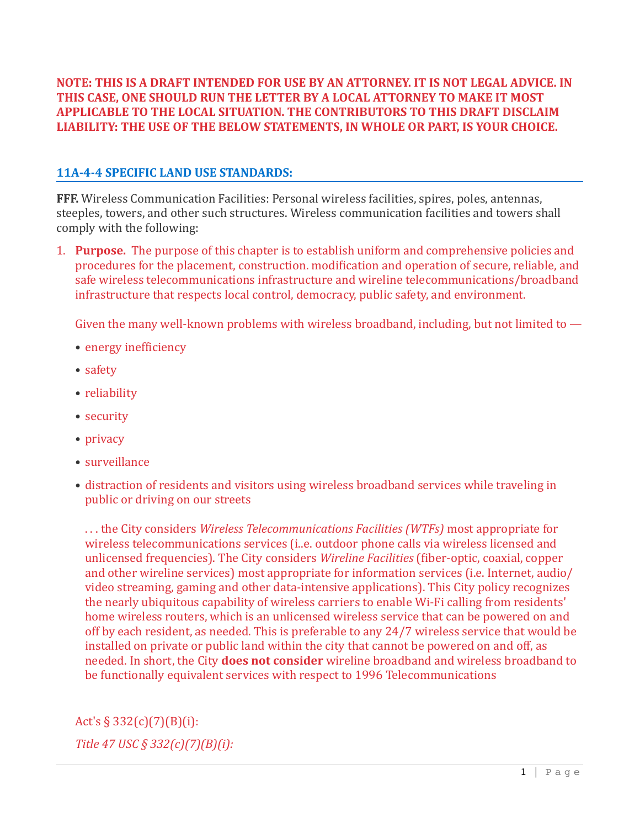**NOTE: THIS IS A DRAFT INTENDED FOR USE BY AN ATTORNEY. IT IS NOT LEGAL ADVICE. IN** THIS CASE, ONE SHOULD RUN THE LETTER BY A LOCAL ATTORNEY TO MAKE IT MOST **APPLICABLE TO THE LOCAL SITUATION. THE CONTRIBUTORS TO THIS DRAFT DISCLAIM** LIABILITY: THE USE OF THE BELOW STATEMENTS, IN WHOLE OR PART, IS YOUR CHOICE.

## **11A-4-4 SPECIFIC LAND USE STANDARDS:**

**FFF.** Wireless Communication Facilities: Personal wireless facilities, spires, poles, antennas, steeples, towers, and other such structures. Wireless communication facilities and towers shall comply with the following:

1. **Purpose.** The purpose of this chapter is to establish uniform and comprehensive policies and procedures for the placement, construction. modification and operation of secure, reliable, and safe wireless telecommunications infrastructure and wireline telecommunications/broadband infrastructure that respects local control, democracy, public safety, and environment.

Given the many well-known problems with wireless broadband, including, but not limited to  $-$ 

- $\bullet$  energy inefficiency
- safety
- reliability
- security
- privacy
- surveillance
- distraction of residents and visitors using wireless broadband services while traveling in public or driving on our streets

... the City considers *Wireless Telecommunications Facilities (WTFs)* most appropriate for wireless telecommunications services (i..e. outdoor phone calls via wireless licensed and unlicensed frequencies). The City considers *Wireline Facilities* (fiber-optic, coaxial, copper and other wireline services) most appropriate for information services (i.e. Internet, audio/ video streaming, gaming and other data-intensive applications). This City policy recognizes the nearly ubiquitous capability of wireless carriers to enable Wi-Fi calling from residents' home wireless routers, which is an unlicensed wireless service that can be powered on and off by each resident, as needed. This is preferable to any 24/7 wireless service that would be installed on private or public land within the city that cannot be powered on and off, as needed. In short, the City **does not consider** wireline broadband and wireless broadband to be functionally equivalent services with respect to 1996 Telecommunications

Act's  $\S 332(c)(7)(B)(i)$ : *Title 47 USC § 332(c)(7)(B)(i):*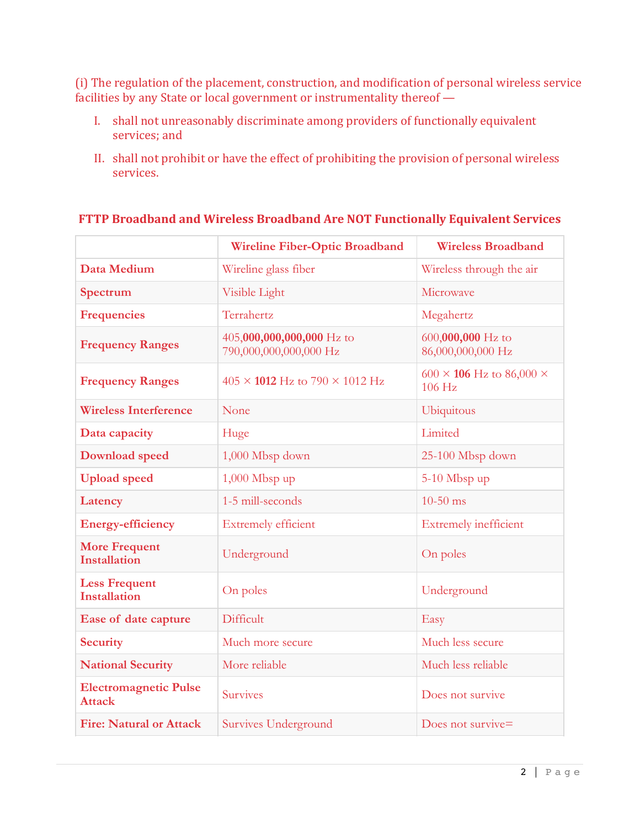(i) The regulation of the placement, construction, and modification of personal wireless service facilities by any State or local government or instrumentality thereof —

- I. shall not unreasonably discriminate among providers of functionally equivalent services; and
- II. shall not prohibit or have the effect of prohibiting the provision of personal wireless services.

|                                               | <b>Wireline Fiber-Optic Broadband</b>               | <b>Wireless Broadband</b>                        |
|-----------------------------------------------|-----------------------------------------------------|--------------------------------------------------|
| Data Medium                                   | Wireline glass fiber                                | Wireless through the air                         |
| Spectrum                                      | Visible Light                                       | Microwave                                        |
| <b>Frequencies</b>                            | Terrahertz                                          | Megahertz                                        |
| <b>Frequency Ranges</b>                       | 405,000,000,000,000 Hz to<br>790,000,000,000,000 Hz | 600,000,000 Hz to<br>86,000,000,000 Hz           |
| <b>Frequency Ranges</b>                       | $405 \times 1012$ Hz to 790 $\times$ 1012 Hz        | 600 $\times$ 106 Hz to 86,000 $\times$<br>106 Hz |
| <b>Wireless Interference</b>                  | None                                                | <b>Ubiquitous</b>                                |
| Data capacity                                 | Huge                                                | Limited                                          |
| <b>Download</b> speed                         | 1,000 Mbsp down                                     | 25-100 Mbsp down                                 |
| <b>Upload</b> speed                           | $1,000$ Mbsp up                                     | 5-10 Mbsp up                                     |
| Latency                                       | 1-5 mill-seconds                                    | $10-50$ ms                                       |
| <b>Energy-efficiency</b>                      | <b>Extremely efficient</b>                          | <b>Extremely inefficient</b>                     |
| <b>More Frequent</b><br><b>Installation</b>   | Underground                                         | On poles                                         |
| <b>Less Frequent</b><br><b>Installation</b>   | On poles                                            | Underground                                      |
| Ease of date capture                          | Difficult                                           | Easy                                             |
| <b>Security</b>                               | Much more secure                                    | Much less secure                                 |
| <b>National Security</b>                      | More reliable                                       | Much less reliable                               |
| <b>Electromagnetic Pulse</b><br><b>Attack</b> | Survives                                            | Does not survive                                 |
| <b>Fire: Natural or Attack</b>                | Survives Underground                                | Does not survive=                                |

#### **FTTP Broadband and Wireless Broadband Are NOT Functionally Equivalent Services**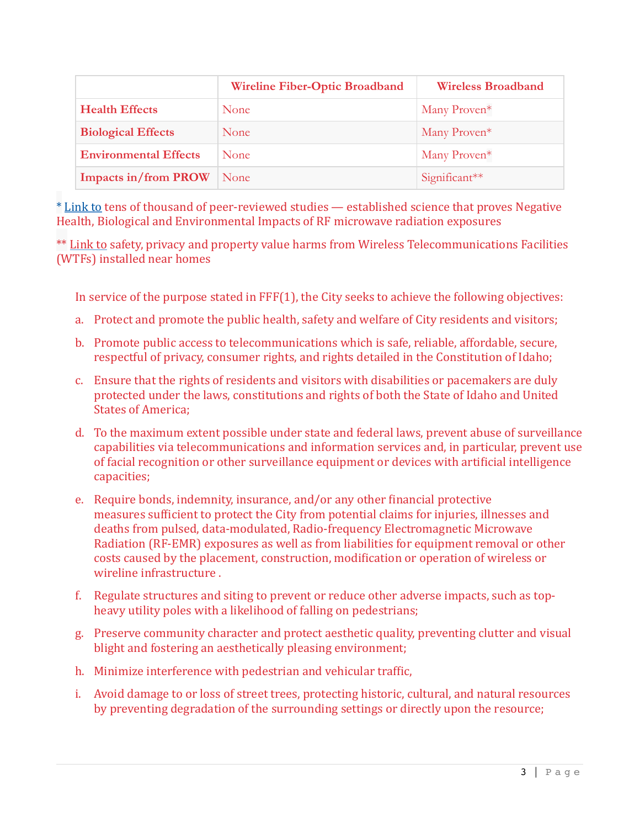|                              | <b>Wireline Fiber-Optic Broadband</b> | <b>Wireless Broadband</b> |
|------------------------------|---------------------------------------|---------------------------|
| <b>Health Effects</b>        | <b>None</b>                           | Many Proven <sup>*</sup>  |
| <b>Biological Effects</b>    | None                                  | Many Proven <sup>*</sup>  |
| <b>Environmental Effects</b> | <b>None</b>                           | Many Proven*              |
| <b>Impacts in/from PROW</b>  | None                                  | Significant $**$          |

\* Link to tens of thousand of peer-reviewed studies - established science that proves Negative Health, Biological and Environmental Impacts of RF microwave radiation exposures

\*\* Link to safety, privacy and property value harms from Wireless Telecommunications Facilities (WTFs) installed near homes

In service of the purpose stated in  $\text{FF}(1)$ , the City seeks to achieve the following objectives:

- a. Protect and promote the public health, safety and welfare of City residents and visitors;
- b. Promote public access to telecommunications which is safe, reliable, affordable, secure, respectful of privacy, consumer rights, and rights detailed in the Constitution of Idaho;
- c. Ensure that the rights of residents and visitors with disabilities or pacemakers are duly protected under the laws, constitutions and rights of both the State of Idaho and United **States of America:**
- d. To the maximum extent possible under state and federal laws, prevent abuse of surveillance capabilities via telecommunications and information services and, in particular, prevent use of facial recognition or other surveillance equipment or devices with artificial intelligence capacities;
- e. Require bonds, indemnity, insurance, and/or any other financial protective measures sufficient to protect the City from potential claims for injuries, illnesses and deaths from pulsed, data-modulated, Radio-frequency Electromagnetic Microwave Radiation (RF-EMR) exposures as well as from liabilities for equipment removal or other costs caused by the placement, construction, modification or operation of wireless or wireline infrastructure.
- f. Regulate structures and siting to prevent or reduce other adverse impacts, such as topheavy utility poles with a likelihood of falling on pedestrians;
- g. Preserve community character and protect aesthetic quality, preventing clutter and visual blight and fostering an aesthetically pleasing environment;
- h. Minimize interference with pedestrian and vehicular traffic,
- i. Avoid damage to or loss of street trees, protecting historic, cultural, and natural resources by preventing degradation of the surrounding settings or directly upon the resource;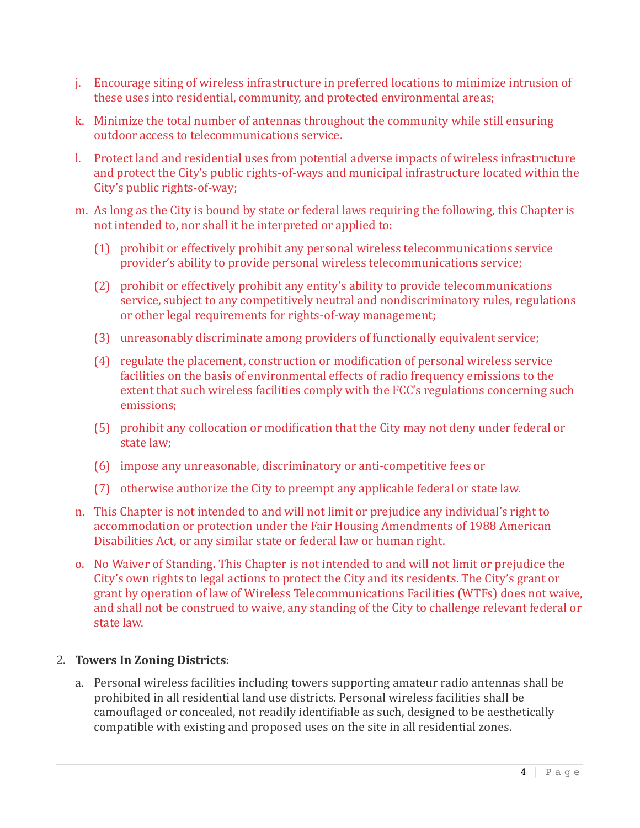- j. Encourage siting of wireless infrastructure in preferred locations to minimize intrusion of these uses into residential, community, and protected environmental areas;
- k. Minimize the total number of antennas throughout the community while still ensuring outdoor access to telecommunications service.
- l. Protect land and residential uses from potential adverse impacts of wireless infrastructure and protect the City's public rights-of-ways and municipal infrastructure located within the City's public rights-of-way;
- m. As long as the City is bound by state or federal laws requiring the following, this Chapter is not intended to, nor shall it be interpreted or applied to:
	- $(1)$  prohibit or effectively prohibit any personal wireless telecommunications service provider's ability to provide personal wireless telecommunications service;
	- (2) prohibit or effectively prohibit any entity's ability to provide telecommunications service, subject to any competitively neutral and nondiscriminatory rules, regulations or other legal requirements for rights-of-way management;
	- (3) unreasonably discriminate among providers of functionally equivalent service;
	- $(4)$  regulate the placement, construction or modification of personal wireless service facilities on the basis of environmental effects of radio frequency emissions to the extent that such wireless facilities comply with the FCC's regulations concerning such emissions;
	- (5) prohibit any collocation or modification that the City may not deny under federal or state law;
	- (6) impose any unreasonable, discriminatory or anti-competitive fees or
	- (7) otherwise authorize the City to preempt any applicable federal or state law.
- n. This Chapter is not intended to and will not limit or prejudice any individual's right to accommodation or protection under the Fair Housing Amendments of 1988 American Disabilities Act, or any similar state or federal law or human right.
- o. No Waiver of Standing. This Chapter is not intended to and will not limit or prejudice the City's own rights to legal actions to protect the City and its residents. The City's grant or grant by operation of law of Wireless Telecommunications Facilities (WTFs) does not waive, and shall not be construed to waive, any standing of the City to challenge relevant federal or state law.

#### 2. **Towers In Zoning Districts:**

a. Personal wireless facilities including towers supporting amateur radio antennas shall be prohibited in all residential land use districts. Personal wireless facilities shall be camouflaged or concealed, not readily identifiable as such, designed to be aesthetically compatible with existing and proposed uses on the site in all residential zones.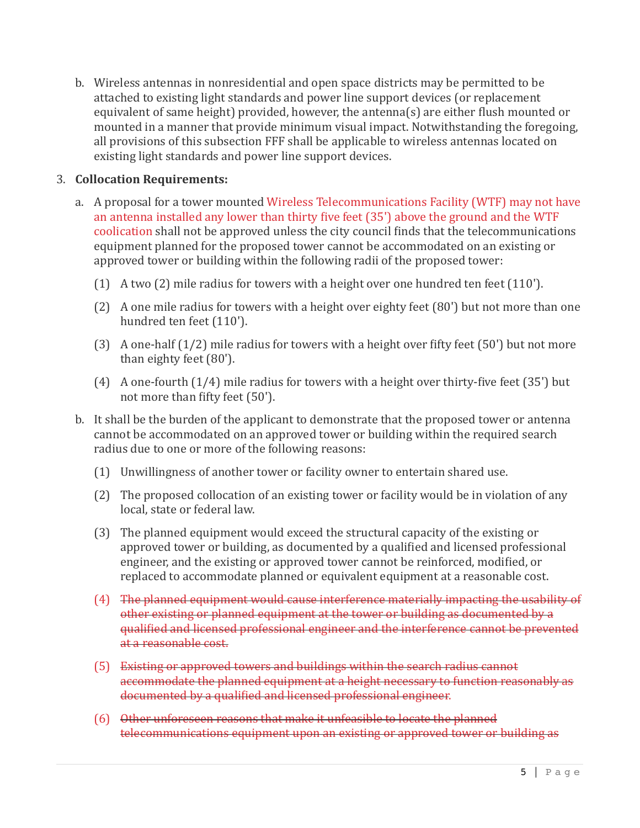b. Wireless antennas in nonresidential and open space districts may be permitted to be attached to existing light standards and power line support devices (or replacement equivalent of same height) provided, however, the antenna(s) are either flush mounted or mounted in a manner that provide minimum visual impact. Notwithstanding the foregoing, all provisions of this subsection FFF shall be applicable to wireless antennas located on existing light standards and power line support devices.

## **3. Collocation Requirements:**

- a. A proposal for a tower mounted Wireless Telecommunications Facility (WTF) may not have an antenna installed any lower than thirty five feet  $(35')$  above the ground and the WTF coolication shall not be approved unless the city council finds that the telecommunications equipment planned for the proposed tower cannot be accommodated on an existing or approved tower or building within the following radii of the proposed tower:
	- (1) A two  $(2)$  mile radius for towers with a height over one hundred ten feet  $(110')$ .
	- (2) A one mile radius for towers with a height over eighty feet  $(80')$  but not more than one hundred ten feet (110').
	- (3) A one-half  $(1/2)$  mile radius for towers with a height over fifty feet  $(50')$  but not more than eighty feet  $(80')$ .
	- (4) A one-fourth  $(1/4)$  mile radius for towers with a height over thirty-five feet  $(35')$  but not more than fifty feet (50').
- b. It shall be the burden of the applicant to demonstrate that the proposed tower or antenna cannot be accommodated on an approved tower or building within the required search radius due to one or more of the following reasons:
	- (1) Unwillingness of another tower or facility owner to entertain shared use.
	- (2) The proposed collocation of an existing tower or facility would be in violation of any local, state or federal law.
	- (3) The planned equipment would exceed the structural capacity of the existing or approved tower or building, as documented by a qualified and licensed professional engineer, and the existing or approved tower cannot be reinforced, modified, or replaced to accommodate planned or equivalent equipment at a reasonable cost.
	- (4) The planned equipment would cause interference materially impacting the usability of other existing or planned equipment at the tower or building as documented by a qualified and licensed professional engineer and the interference cannot be prevented at a reasonable cost.
	- (5) Existing or approved towers and buildings within the search radius cannot accommodate the planned equipment at a height necessary to function reasonably as documented by a qualified and licensed professional engineer.
	- (6) Other unforeseen reasons that make it unfeasible to locate the planned telecommunications equipment upon an existing or approved tower or building as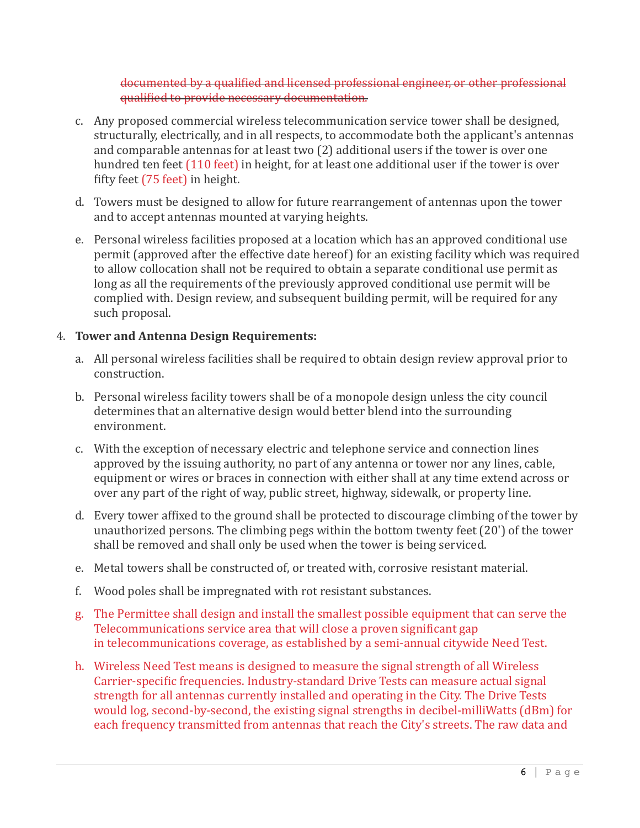documented by a qualified and licensed professional engineer, or other professional qualified to provide necessary documentation.

- c. Any proposed commercial wireless telecommunication service tower shall be designed, structurally, electrically, and in all respects, to accommodate both the applicant's antennas and comparable antennas for at least two  $(2)$  additional users if the tower is over one hundred ten feet (110 feet) in height, for at least one additional user if the tower is over fifty feet  $(75$  feet) in height.
- d. Towers must be designed to allow for future rearrangement of antennas upon the tower and to accept antennas mounted at varying heights.
- e. Personal wireless facilities proposed at a location which has an approved conditional use permit (approved after the effective date hereof) for an existing facility which was required to allow collocation shall not be required to obtain a separate conditional use permit as long as all the requirements of the previously approved conditional use permit will be complied with. Design review, and subsequent building permit, will be required for any such proposal.

# 4. **Tower and Antenna Design Requirements:**

- a. All personal wireless facilities shall be required to obtain design review approval prior to construction.
- b. Personal wireless facility towers shall be of a monopole design unless the city council determines that an alternative design would better blend into the surrounding environment.
- c. With the exception of necessary electric and telephone service and connection lines approved by the issuing authority, no part of any antenna or tower nor any lines, cable, equipment or wires or braces in connection with either shall at any time extend across or over any part of the right of way, public street, highway, sidewalk, or property line.
- d. Every tower affixed to the ground shall be protected to discourage climbing of the tower by unauthorized persons. The climbing pegs within the bottom twenty feet  $(20')$  of the tower shall be removed and shall only be used when the tower is being serviced.
- e. Metal towers shall be constructed of, or treated with, corrosive resistant material.
- f. Wood poles shall be impregnated with rot resistant substances.
- g. The Permittee shall design and install the smallest possible equipment that can serve the Telecommunications service area that will close a proven significant gap in telecommunications coverage, as established by a semi-annual citywide Need Test.
- h. Wireless Need Test means is designed to measure the signal strength of all Wireless Carrier-specific frequencies. Industry-standard Drive Tests can measure actual signal strength for all antennas currently installed and operating in the City. The Drive Tests would log, second-by-second, the existing signal strengths in decibel-milliWatts (dBm) for each frequency transmitted from antennas that reach the City's streets. The raw data and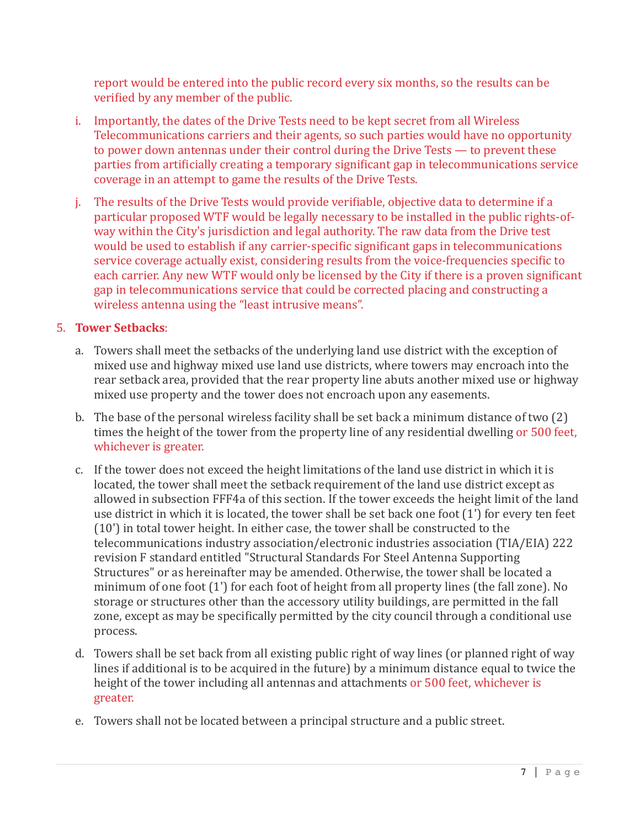report would be entered into the public record every six months, so the results can be verified by any member of the public.

- i. Importantly, the dates of the Drive Tests need to be kept secret from all Wireless Telecommunications carriers and their agents, so such parties would have no opportunity to power down antennas under their control during the Drive Tests  $-$  to prevent these parties from artificially creating a temporary significant gap in telecommunications service coverage in an attempt to game the results of the Drive Tests.
- j. The results of the Drive Tests would provide verifiable, objective data to determine if a particular proposed WTF would be legally necessary to be installed in the public rights-ofway within the City's jurisdiction and legal authority. The raw data from the Drive test would be used to establish if any carrier-specific significant gaps in telecommunications service coverage actually exist, considering results from the voice-frequencies specific to each carrier. Any new WTF would only be licensed by the City if there is a proven significant gap in telecommunications service that could be corrected placing and constructing a wireless antenna using the "least intrusive means".

# 5. **Tower Setbacks**:

- a. Towers shall meet the setbacks of the underlying land use district with the exception of mixed use and highway mixed use land use districts, where towers may encroach into the rear setback area, provided that the rear property line abuts another mixed use or highway mixed use property and the tower does not encroach upon any easements.
- b. The base of the personal wireless facility shall be set back a minimum distance of two  $(2)$ times the height of the tower from the property line of any residential dwelling or 500 feet, whichever is greater.
- c. If the tower does not exceed the height limitations of the land use district in which it is located, the tower shall meet the setback requirement of the land use district except as allowed in subsection FFF4a of this section. If the tower exceeds the height limit of the land use district in which it is located, the tower shall be set back one foot  $(1')$  for every ten feet  $(10')$  in total tower height. In either case, the tower shall be constructed to the  $telecommunications industry association/electronic industries association (TIA/EIA) 222$ revision F standard entitled "Structural Standards For Steel Antenna Supporting Structures" or as hereinafter may be amended. Otherwise, the tower shall be located a minimum of one foot  $(1')$  for each foot of height from all property lines (the fall zone). No storage or structures other than the accessory utility buildings, are permitted in the fall zone, except as may be specifically permitted by the city council through a conditional use process.
- d. Towers shall be set back from all existing public right of way lines (or planned right of way lines if additional is to be acquired in the future) by a minimum distance equal to twice the height of the tower including all antennas and attachments or 500 feet, whichever is greater.
- e. Towers shall not be located between a principal structure and a public street.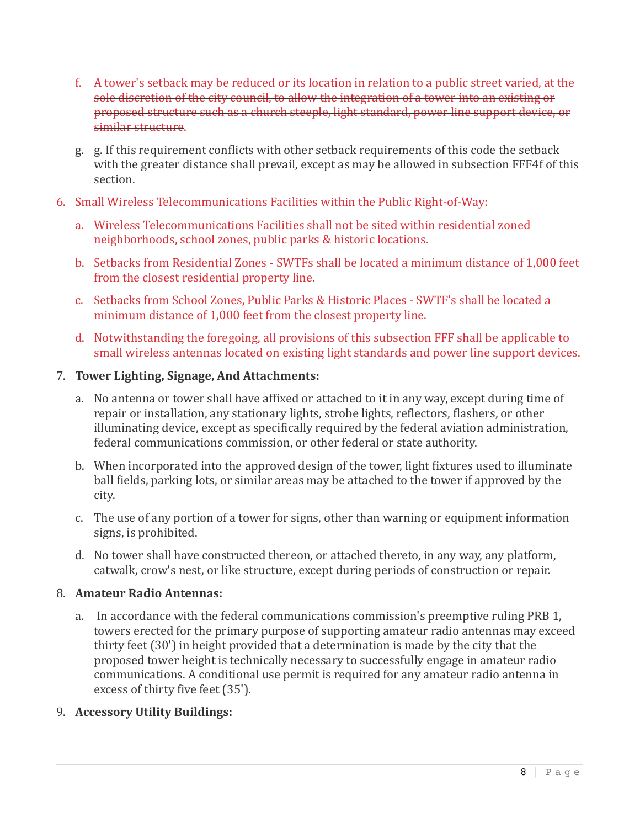- f. A tower's setback may be reduced or its location in relation to a public street varied, at the sole discretion of the city council, to allow the integration of a tower into an existing or proposed structure such as a church steeple, light standard, power line support device, or similar structure.
- g. g. If this requirement conflicts with other setback requirements of this code the setback with the greater distance shall prevail, except as may be allowed in subsection FFF4f of this section.
- 6. Small Wireless Telecommunications Facilities within the Public Right-of-Way:
	- a. Wireless Telecommunications Facilities shall not be sited within residential zoned neighborhoods, school zones, public parks & historic locations.
	- b. Setbacks from Residential Zones SWTFs shall be located a minimum distance of 1,000 feet from the closest residential property line.
	- c. Setbacks from School Zones, Public Parks & Historic Places SWTF's shall be located a minimum distance of 1,000 feet from the closest property line.
	- d. Notwithstanding the foregoing, all provisions of this subsection FFF shall be applicable to small wireless antennas located on existing light standards and power line support devices.

# 7. **Tower Lighting, Signage, And Attachments:**

- a. No antenna or tower shall have affixed or attached to it in any way, except during time of repair or installation, any stationary lights, strobe lights, reflectors, flashers, or other illuminating device, except as specifically required by the federal aviation administration, federal communications commission, or other federal or state authority.
- b. When incorporated into the approved design of the tower, light fixtures used to illuminate ball fields, parking lots, or similar areas may be attached to the tower if approved by the city.
- c. The use of any portion of a tower for signs, other than warning or equipment information signs, is prohibited.
- d. No tower shall have constructed thereon, or attached thereto, in any way, any platform, catwalk, crow's nest, or like structure, except during periods of construction or repair.

#### 8. **Amateur Radio Antennas:**

a. In accordance with the federal communications commission's preemptive ruling PRB 1, towers erected for the primary purpose of supporting amateur radio antennas may exceed thirty feet  $(30')$  in height provided that a determination is made by the city that the proposed tower height is technically necessary to successfully engage in amateur radio communications. A conditional use permit is required for any amateur radio antenna in excess of thirty five feet (35').

# 9. **Accessory Utility Buildings:**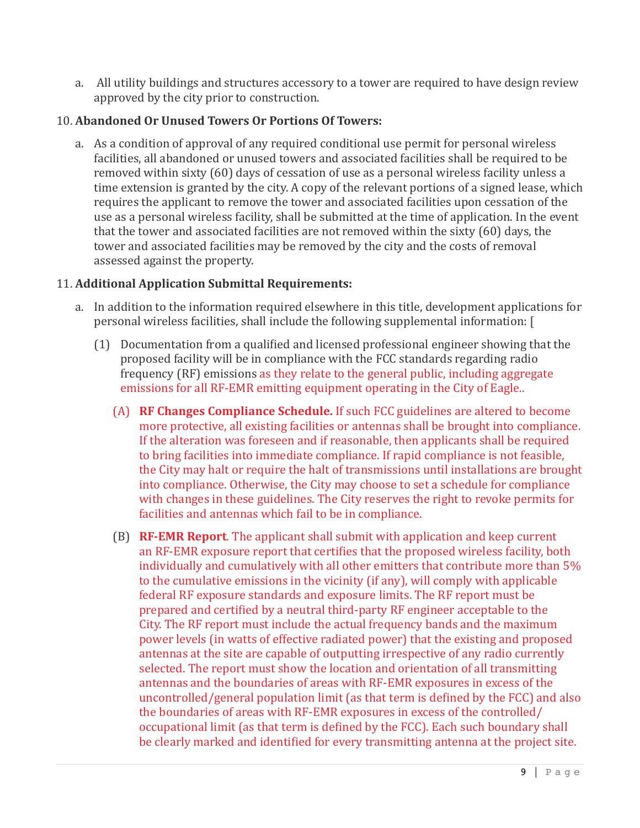a. All utility buildings and structures accessory to a tower are required to have design review approved by the city prior to construction.

## 10. **Abandoned Or Unused Towers Or Portions Of Towers:**

a. As a condition of approval of any required conditional use permit for personal wireless facilities, all abandoned or unused towers and associated facilities shall be required to be removed within sixty (60) days of cessation of use as a personal wireless facility unless a time extension is granted by the city. A copy of the relevant portions of a signed lease, which requires the applicant to remove the tower and associated facilities upon cessation of the use as a personal wireless facility, shall be submitted at the time of application. In the event that the tower and associated facilities are not removed within the sixty  $(60)$  days, the tower and associated facilities may be removed by the city and the costs of removal assessed against the property.

### 11. **Additional Application Submittal Requirements:**

- a. In addition to the information required elsewhere in this title, development applications for personal wireless facilities, shall include the following supplemental information: [
	- $(1)$  Documentation from a qualified and licensed professional engineer showing that the proposed facility will be in compliance with the FCC standards regarding radio frequency (RF) emissions as they relate to the general public, including aggregate emissions for all RF-EMR emitting equipment operating in the City of Eagle..
		- (A) **RF Changes Compliance Schedule.** If such FCC guidelines are altered to become more protective, all existing facilities or antennas shall be brought into compliance. If the alteration was foreseen and if reasonable, then applicants shall be required to bring facilities into immediate compliance. If rapid compliance is not feasible, the City may halt or require the halt of transmissions until installations are brought into compliance. Otherwise, the City may choose to set a schedule for compliance with changes in these guidelines. The City reserves the right to revoke permits for facilities and antennas which fail to be in compliance.
		- (B) **RF-EMR Report**. The applicant shall submit with application and keep current an RF-EMR exposure report that certifies that the proposed wireless facility, both individually and cumulatively with all other emitters that contribute more than  $5%$ to the cumulative emissions in the vicinity (if any), will comply with applicable federal RF exposure standards and exposure limits. The RF report must be prepared and certified by a neutral third-party RF engineer acceptable to the City. The RF report must include the actual frequency bands and the maximum power levels (in watts of effective radiated power) that the existing and proposed antennas at the site are capable of outputting irrespective of any radio currently selected. The report must show the location and orientation of all transmitting antennas and the boundaries of areas with RF-EMR exposures in excess of the uncontrolled/general population limit (as that term is defined by the  $FCC$ ) and also the boundaries of areas with RF-EMR exposures in excess of the controlled/ occupational limit (as that term is defined by the FCC). Each such boundary shall be clearly marked and identified for every transmitting antenna at the project site.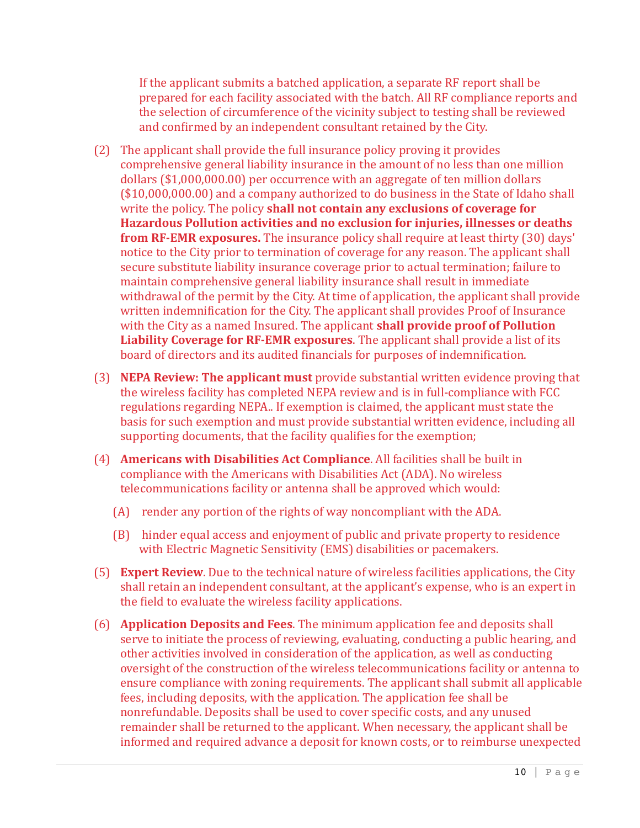If the applicant submits a batched application, a separate RF report shall be prepared for each facility associated with the batch. All RF compliance reports and the selection of circumference of the vicinity subject to testing shall be reviewed and confirmed by an independent consultant retained by the City.

- (2) The applicant shall provide the full insurance policy proving it provides comprehensive general liability insurance in the amount of no less than one million dollars (\$1,000,000,00) per occurrence with an aggregate of ten million dollars  $($10,000,000.00)$  and a company authorized to do business in the State of Idaho shall write the policy. The policy **shall not contain any exclusions of coverage for** Hazardous Pollution activities and no exclusion for injuries, illnesses or deaths **from RF-EMR exposures.** The insurance policy shall require at least thirty (30) days' notice to the City prior to termination of coverage for any reason. The applicant shall secure substitute liability insurance coverage prior to actual termination; failure to maintain comprehensive general liability insurance shall result in immediate withdrawal of the permit by the City. At time of application, the applicant shall provide written indemnification for the City. The applicant shall provides Proof of Insurance with the City as a named Insured. The applicant **shall provide proof of Pollution Liability Coverage for RF-EMR exposures**. The applicant shall provide a list of its board of directors and its audited financials for purposes of indemnification.
- (3) **NEPA Review: The applicant must** provide substantial written evidence proving that the wireless facility has completed NEPA review and is in full-compliance with FCC regulations regarding NEPA.. If exemption is claimed, the applicant must state the basis for such exemption and must provide substantial written evidence, including all supporting documents, that the facility qualifies for the exemption;
- (4) **Americans with Disabilities Act Compliance**. All facilities shall be built in compliance with the Americans with Disabilities Act (ADA). No wireless telecommunications facility or antenna shall be approved which would:
	- (A) render any portion of the rights of way noncompliant with the ADA.
	- (B) hinder equal access and enjoyment of public and private property to residence with Electric Magnetic Sensitivity (EMS) disabilities or pacemakers.
- (5) **Expert Review**. Due to the technical nature of wireless facilities applications, the City shall retain an independent consultant, at the applicant's expense, who is an expert in the field to evaluate the wireless facility applications.
- (6) **Application Deposits and Fees**. The minimum application fee and deposits shall serve to initiate the process of reviewing, evaluating, conducting a public hearing, and other activities involved in consideration of the application, as well as conducting oversight of the construction of the wireless telecommunications facility or antenna to ensure compliance with zoning requirements. The applicant shall submit all applicable fees, including deposits, with the application. The application fee shall be nonrefundable. Deposits shall be used to cover specific costs, and any unused remainder shall be returned to the applicant. When necessary, the applicant shall be informed and required advance a deposit for known costs, or to reimburse unexpected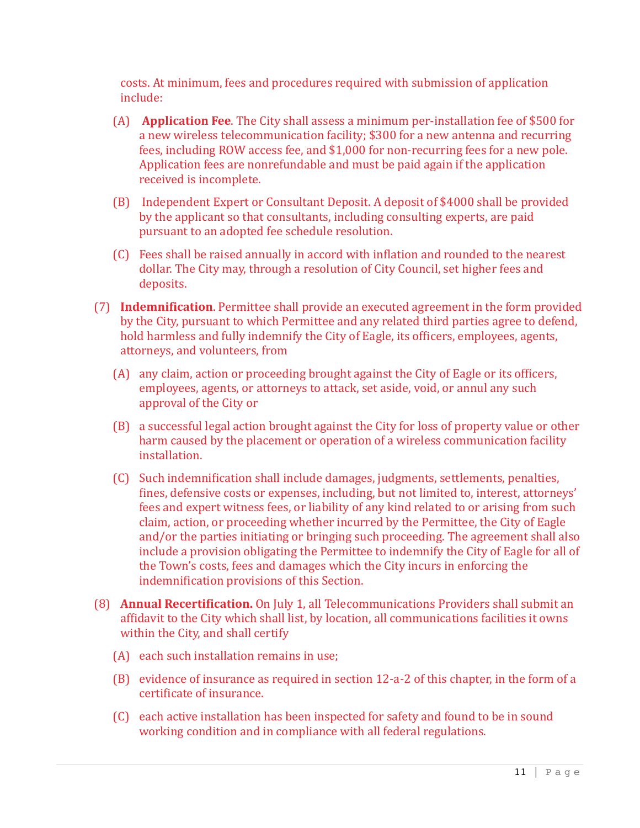costs. At minimum, fees and procedures required with submission of application include: 

- (A) **Application Fee**. The City shall assess a minimum per-installation fee of \$500 for a new wireless telecommunication facility; \$300 for a new antenna and recurring fees, including ROW access fee, and \$1,000 for non-recurring fees for a new pole. Application fees are nonrefundable and must be paid again if the application received is incomplete.
- (B) Independent Expert or Consultant Deposit. A deposit of \$4000 shall be provided by the applicant so that consultants, including consulting experts, are paid pursuant to an adopted fee schedule resolution.
- (C) Fees shall be raised annually in accord with inflation and rounded to the nearest dollar. The City may, through a resolution of City Council, set higher fees and deposits.
- (7) **Indemnification**. Permittee shall provide an executed agreement in the form provided by the City, pursuant to which Permittee and any related third parties agree to defend, hold harmless and fully indemnify the City of Eagle, its officers, employees, agents, attorneys, and volunteers, from
	- (A) any claim, action or proceeding brought against the City of Eagle or its officers, employees, agents, or attorneys to attack, set aside, void, or annul any such approval of the City or
	- (B) a successful legal action brought against the City for loss of property value or other harm caused by the placement or operation of a wireless communication facility installation.
	- (C) Such indemnification shall include damages, judgments, settlements, penalties, fines, defensive costs or expenses, including, but not limited to, interest, attorneys' fees and expert witness fees, or liability of any kind related to or arising from such claim, action, or proceeding whether incurred by the Permittee, the City of Eagle and/or the parties initiating or bringing such proceeding. The agreement shall also include a provision obligating the Permittee to indemnify the City of Eagle for all of the Town's costs, fees and damages which the City incurs in enforcing the indemnification provisions of this Section.
- (8) **Annual Recertification.** On July 1, all Telecommunications Providers shall submit an affidavit to the City which shall list, by location, all communications facilities it owns within the City, and shall certify
	- $(A)$  each such installation remains in use;
	- (B) evidence of insurance as required in section 12-a-2 of this chapter, in the form of a certificate of insurance.
	- (C) each active installation has been inspected for safety and found to be in sound working condition and in compliance with all federal regulations.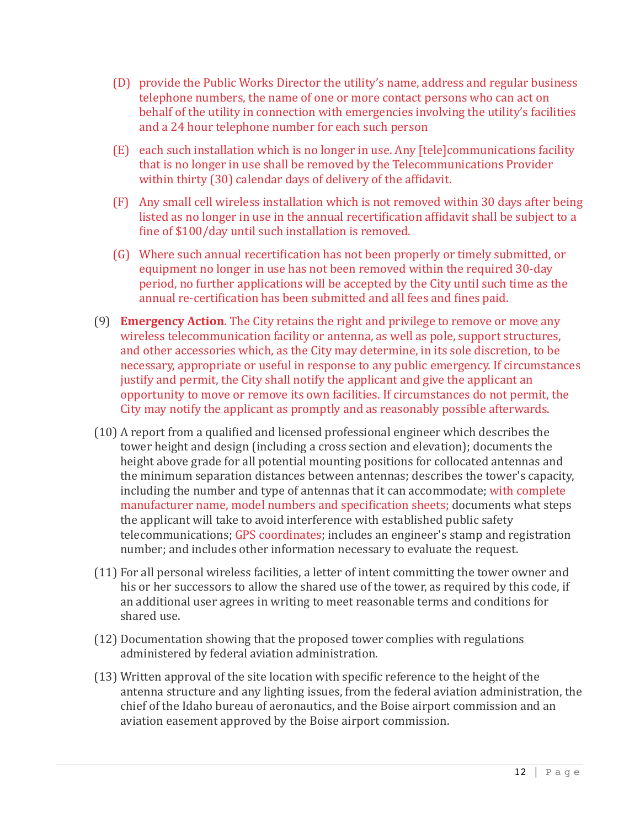- (D) provide the Public Works Director the utility's name, address and regular business telephone numbers, the name of one or more contact persons who can act on behalf of the utility in connection with emergencies involving the utility's facilities and a 24 hour telephone number for each such person
- (E) each such installation which is no longer in use. Any [tele]communications facility that is no longer in use shall be removed by the Telecommunications Provider within thirty (30) calendar days of delivery of the affidavit.
- (F) Any small cell wireless installation which is not removed within 30 days after being listed as no longer in use in the annual recertification affidavit shall be subject to a fine of \$100/day until such installation is removed.
- (G) Where such annual recertification has not been properly or timely submitted, or equipment no longer in use has not been removed within the required 30-day period, no further applications will be accepted by the City until such time as the annual re-certification has been submitted and all fees and fines paid.
- (9) **Emergency Action**. The City retains the right and privilege to remove or move any wireless telecommunication facility or antenna, as well as pole, support structures. and other accessories which, as the City may determine, in its sole discretion, to be necessary, appropriate or useful in response to any public emergency. If circumstances justify and permit, the City shall notify the applicant and give the applicant an opportunity to move or remove its own facilities. If circumstances do not permit, the City may notify the applicant as promptly and as reasonably possible afterwards.
- $(10)$  A report from a qualified and licensed professional engineer which describes the tower height and design (including a cross section and elevation); documents the height above grade for all potential mounting positions for collocated antennas and the minimum separation distances between antennas; describes the tower's capacity, including the number and type of antennas that it can accommodate; with complete manufacturer name, model numbers and specification sheets; documents what steps the applicant will take to avoid interference with established public safety telecommunications; GPS coordinates; includes an engineer's stamp and registration number; and includes other information necessary to evaluate the request.
- (11) For all personal wireless facilities, a letter of intent committing the tower owner and his or her successors to allow the shared use of the tower, as required by this code, if an additional user agrees in writing to meet reasonable terms and conditions for shared use.
- (12) Documentation showing that the proposed tower complies with regulations administered by federal aviation administration.
- $(13)$  Written approval of the site location with specific reference to the height of the antenna structure and any lighting issues, from the federal aviation administration, the chief of the Idaho bureau of aeronautics, and the Boise airport commission and an aviation easement approved by the Boise airport commission.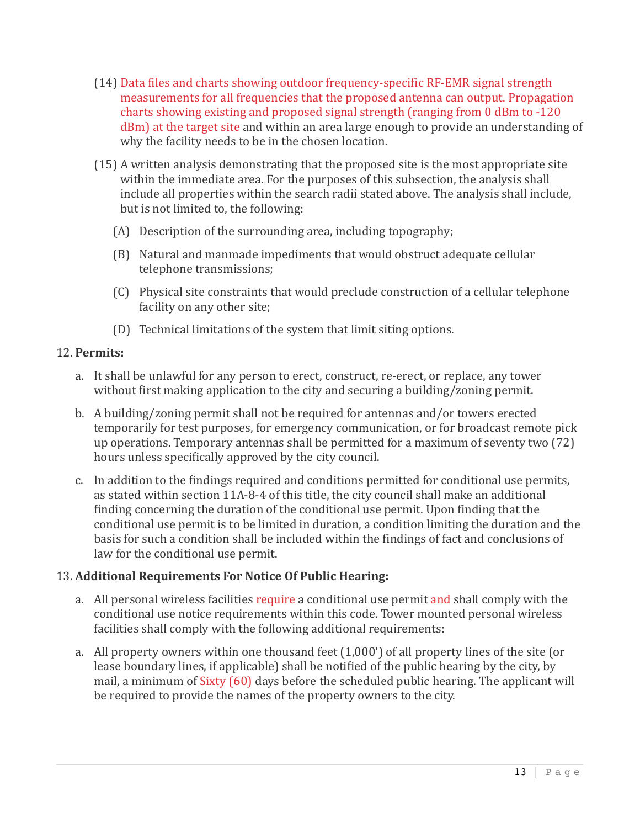- $(14)$  Data files and charts showing outdoor frequency-specific RF-EMR signal strength measurements for all frequencies that the proposed antenna can output. Propagation charts showing existing and proposed signal strength (ranging from  $0$  dBm to -120 dBm) at the target site and within an area large enough to provide an understanding of why the facility needs to be in the chosen location.
- $(15)$  A written analysis demonstrating that the proposed site is the most appropriate site within the immediate area. For the purposes of this subsection, the analysis shall include all properties within the search radii stated above. The analysis shall include, but is not limited to, the following:
	- $(A)$  Description of the surrounding area, including topography;
	- (B) Natural and manmade impediments that would obstruct adequate cellular telephone transmissions;
	- (C) Physical site constraints that would preclude construction of a cellular telephone facility on any other site;
	- (D) Technical limitations of the system that limit siting options.

### 12. **Permits:**

- a. It shall be unlawful for any person to erect, construct, re-erect, or replace, any tower without first making application to the city and securing a building/zoning permit.
- b. A building/zoning permit shall not be required for antennas and/or towers erected temporarily for test purposes, for emergency communication, or for broadcast remote pick up operations. Temporary antennas shall be permitted for a maximum of seventy two  $(72)$ hours unless specifically approved by the city council.
- c. In addition to the findings required and conditions permitted for conditional use permits, as stated within section 11A-8-4 of this title, the city council shall make an additional finding concerning the duration of the conditional use permit. Upon finding that the conditional use permit is to be limited in duration, a condition limiting the duration and the basis for such a condition shall be included within the findings of fact and conclusions of law for the conditional use permit.

# 13. Additional Requirements For Notice Of Public Hearing:

- a. All personal wireless facilities require a conditional use permit and shall comply with the conditional use notice requirements within this code. Tower mounted personal wireless facilities shall comply with the following additional requirements:
- a. All property owners within one thousand feet  $(1,000')$  of all property lines of the site (or lease boundary lines, if applicable) shall be notified of the public hearing by the city, by mail, a minimum of Sixty (60) days before the scheduled public hearing. The applicant will be required to provide the names of the property owners to the city.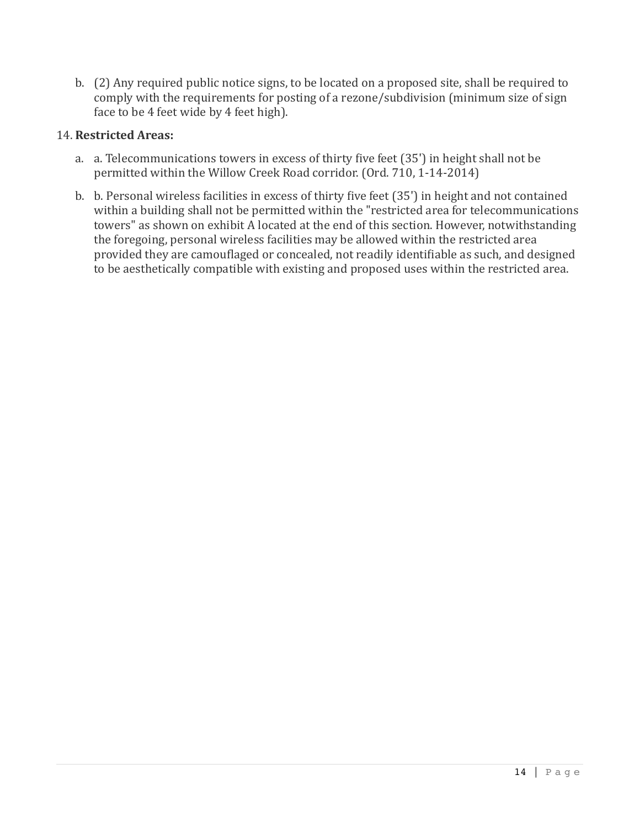b. (2) Any required public notice signs, to be located on a proposed site, shall be required to comply with the requirements for posting of a rezone/subdivision (minimum size of sign face to be 4 feet wide by 4 feet high).

#### 14. **Restricted Areas:**

- a. a. Telecommunications towers in excess of thirty five feet (35') in height shall not be permitted within the Willow Creek Road corridor. (Ord. 710, 1-14-2014)
- b. b. Personal wireless facilities in excess of thirty five feet (35') in height and not contained within a building shall not be permitted within the "restricted area for telecommunications towers" as shown on exhibit A located at the end of this section. However, notwithstanding the foregoing, personal wireless facilities may be allowed within the restricted area provided they are camouflaged or concealed, not readily identifiable as such, and designed to be aesthetically compatible with existing and proposed uses within the restricted area.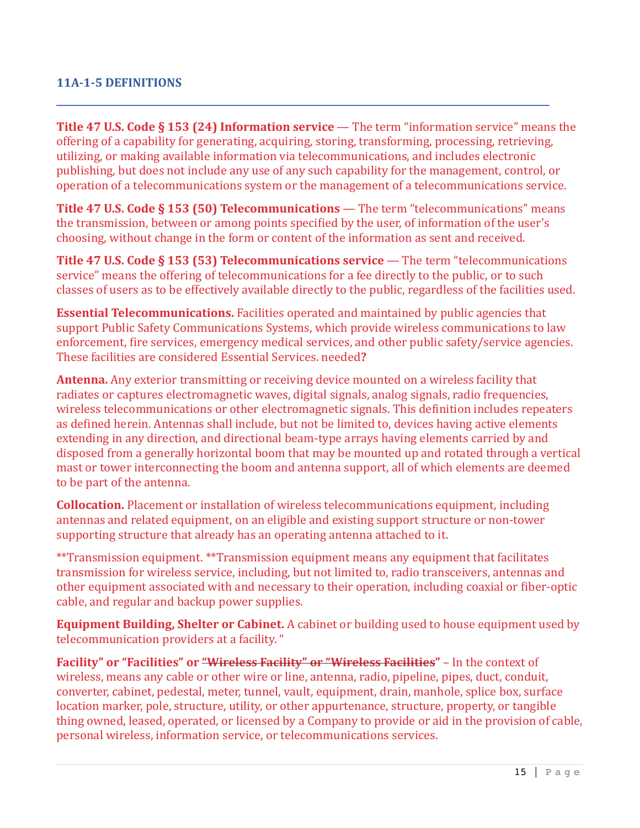### **11A-1-5 DEFINITIONS**

**Title 47 U.S. Code § 153 (24) Information service** — The term "information service" means the offering of a capability for generating, acquiring, storing, transforming, processing, retrieving, utilizing, or making available information via telecommunications, and includes electronic publishing, but does not include any use of any such capability for the management, control, or operation of a telecommunications system or the management of a telecommunications service.

**Title 47 U.S. Code § 153 (50) Telecommunications** — The term "telecommunications" means the transmission, between or among points specified by the user, of information of the user's choosing, without change in the form or content of the information as sent and received.

**Title 47 U.S. Code § 153 (53) Telecommunications service** — The term "telecommunications service" means the offering of telecommunications for a fee directly to the public, or to such classes of users as to be effectively available directly to the public, regardless of the facilities used.

**Essential Telecommunications.** Facilities operated and maintained by public agencies that support Public Safety Communications Systems, which provide wireless communications to law enforcement, fire services, emergency medical services, and other public safety/service agencies. These facilities are considered Essential Services. needed**?**

**Antenna.** Any exterior transmitting or receiving device mounted on a wireless facility that radiates or captures electromagnetic waves, digital signals, analog signals, radio frequencies, wireless telecommunications or other electromagnetic signals. This definition includes repeaters as defined herein. Antennas shall include, but not be limited to, devices having active elements extending in any direction, and directional beam-type arrays having elements carried by and disposed from a generally horizontal boom that may be mounted up and rotated through a vertical mast or tower interconnecting the boom and antenna support, all of which elements are deemed to be part of the antenna.

**Collocation.** Placement or installation of wireless telecommunications equipment, including antennas and related equipment, on an eligible and existing support structure or non-tower supporting structure that already has an operating antenna attached to it.

\*\*Transmission equipment. \*\*Transmission equipment means any equipment that facilitates transmission for wireless service, including, but not limited to, radio transceivers, antennas and other equipment associated with and necessary to their operation, including coaxial or fiber-optic cable, and regular and backup power supplies.

**Equipment Building, Shelter or Cabinet.** A cabinet or building used to house equipment used by telecommunication providers at a facility. "

**Facility" or "Facilities" or "Wireless Facility" or "Wireless Facilities"** – In the context of wireless, means any cable or other wire or line, antenna, radio, pipeline, pipes, duct, conduit, converter, cabinet, pedestal, meter, tunnel, vault, equipment, drain, manhole, splice box, surface location marker, pole, structure, utility, or other appurtenance, structure, property, or tangible thing owned, leased, operated, or licensed by a Company to provide or aid in the provision of cable, personal wireless, information service, or telecommunications services.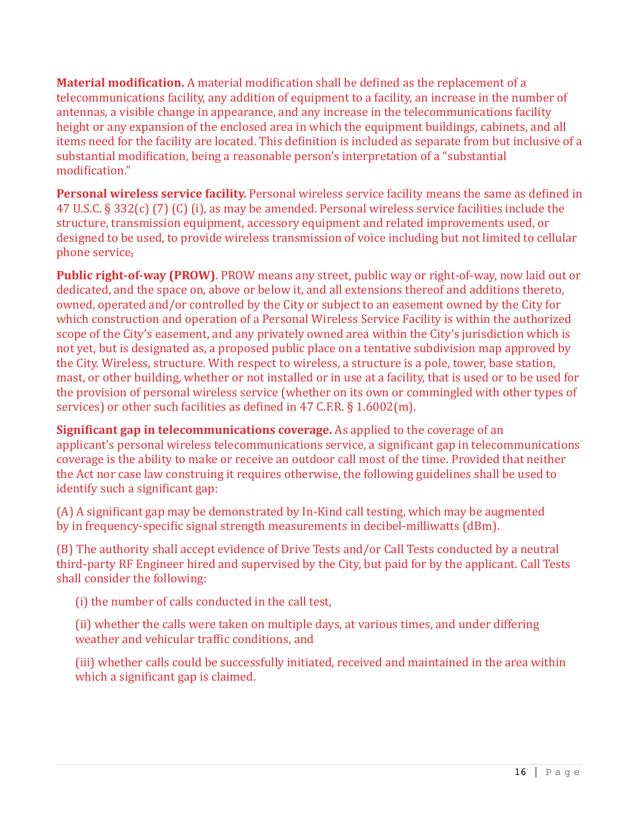**Material modification.** A material modification shall be defined as the replacement of a telecommunications facility, any addition of equipment to a facility, an increase in the number of antennas, a visible change in appearance, and any increase in the telecommunications facility height or any expansion of the enclosed area in which the equipment buildings, cabinets, and all items need for the facility are located. This definition is included as separate from but inclusive of a substantial modification, being a reasonable person's interpretation of a "substantial modification."

Personal wireless service facility. Personal wireless service facility means the same as defined in 47 U.S.C. § 332(c) (7) (C) (i), as may be amended. Personal wireless service facilities include the structure, transmission equipment, accessory equipment and related improvements used, or designed to be used, to provide wireless transmission of voice including but not limited to cellular phone service,

**Public right-of-way (PROW)**. PROW means any street, public way or right-of-way, now laid out or dedicated, and the space on, above or below it, and all extensions thereof and additions thereto, owned, operated and/or controlled by the City or subject to an easement owned by the City for which construction and operation of a Personal Wireless Service Facility is within the authorized scope of the City's easement, and any privately owned area within the City's jurisdiction which is not yet, but is designated as, a proposed public place on a tentative subdivision map approved by the City. Wireless, structure. With respect to wireless, a structure is a pole, tower, base station, mast, or other building, whether or not installed or in use at a facility, that is used or to be used for the provision of personal wireless service (whether on its own or commingled with other types of services) or other such facilities as defined in 47 C.F.R.  $\S 1.6002(m)$ .

**Significant gap in telecommunications coverage.** As applied to the coverage of an applicant's personal wireless telecommunications service, a significant gap in telecommunications coverage is the ability to make or receive an outdoor call most of the time. Provided that neither the Act nor case law construing it requires otherwise, the following guidelines shall be used to identify such a significant gap:

(A) A significant gap may be demonstrated by In-Kind call testing, which may be augmented by in frequency-specific signal strength measurements in decibel-milliwatts (dBm).

(B) The authority shall accept evidence of Drive Tests and/or Call Tests conducted by a neutral third-party RF Engineer hired and supervised by the City, but paid for by the applicant. Call Tests shall consider the following:

(i) the number of calls conducted in the call test,

(ii) whether the calls were taken on multiple days, at various times, and under differing weather and vehicular traffic conditions, and

(iii) whether calls could be successfully initiated, received and maintained in the area within which a significant gap is claimed.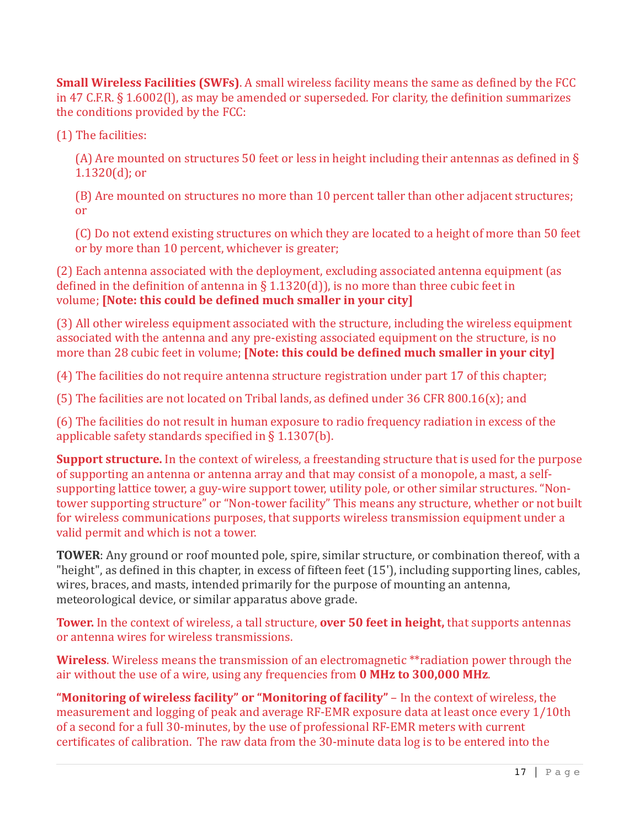**Small Wireless Facilities (SWFs)**. A small wireless facility means the same as defined by the FCC in 47 C.F.R.  $\S$  1.6002(I), as may be amended or superseded. For clarity, the definition summarizes the conditions provided by the FCC:

(1) The facilities:

(A) Are mounted on structures 50 feet or less in height including their antennas as defined in  $\S$  $1.1320(d)$ ; or

(B) Are mounted on structures no more than 10 percent taller than other adjacent structures; or 

(C) Do not extend existing structures on which they are located to a height of more than 50 feet or by more than 10 percent, whichever is greater;

(2) Each antenna associated with the deployment, excluding associated antenna equipment (as defined in the definition of antenna in § 1.1320(d)), is no more than three cubic feet in volume; **[Note: this could be defined much smaller in your city]** 

(3) All other wireless equipment associated with the structure, including the wireless equipment associated with the antenna and any pre-existing associated equipment on the structure, is no more than 28 cubic feet in volume; **[Note: this could be defined much smaller in your city]** 

(4) The facilities do not require antenna structure registration under part 17 of this chapter;

(5) The facilities are not located on Tribal lands, as defined under  $36$  CFR  $800.16(x)$ ; and

(6) The facilities do not result in human exposure to radio frequency radiation in excess of the applicable safety standards specified in  $\S$  1.1307(b).

**Support structure.** In the context of wireless, a freestanding structure that is used for the purpose of supporting an antenna or antenna array and that may consist of a monopole, a mast, a selfsupporting lattice tower, a guy-wire support tower, utility pole, or other similar structures. "Nontower supporting structure" or "Non-tower facility" This means any structure, whether or not built for wireless communications purposes, that supports wireless transmission equipment under a valid permit and which is not a tower.

**TOWER:** Any ground or roof mounted pole, spire, similar structure, or combination thereof, with a "height", as defined in this chapter, in excess of fifteen feet  $(15')$ , including supporting lines, cables, wires, braces, and masts, intended primarily for the purpose of mounting an antenna, meteorological device, or similar apparatus above grade.

**Tower.** In the context of wireless, a tall structure, **over 50 feet in height**, that supports antennas or antenna wires for wireless transmissions.

**Wireless**. Wireless means the transmission of an electromagnetic \*\*radiation power through the air without the use of a wire, using any frequencies from **0 MHz to 300,000 MHz**.

**"Monitoring of wireless facility" or "Monitoring of facility"** – In the context of wireless, the measurement and logging of peak and average RF-EMR exposure data at least once every 1/10th of a second for a full 30-minutes, by the use of professional RF-EMR meters with current certificates of calibration. The raw data from the 30-minute data log is to be entered into the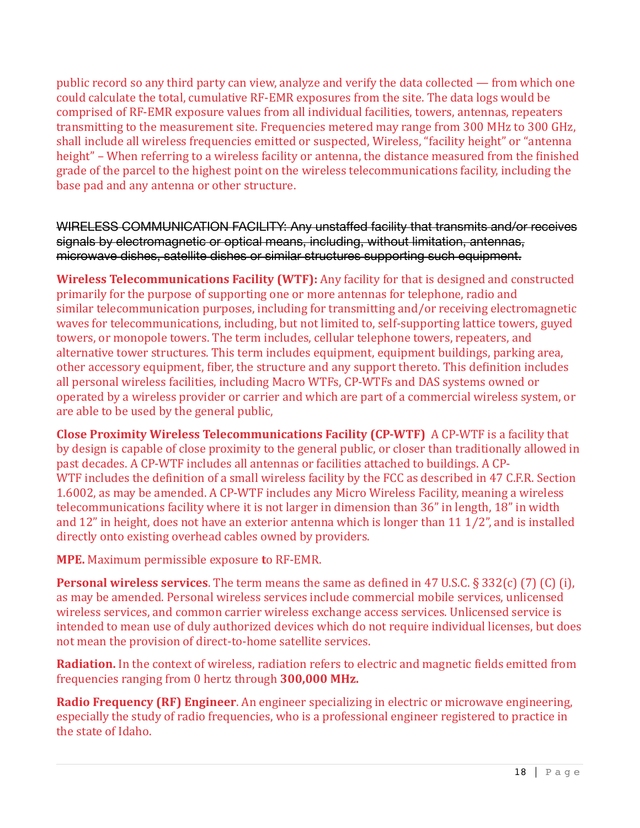public record so any third party can view, analyze and verify the data collected — from which one could calculate the total, cumulative RF-EMR exposures from the site. The data logs would be comprised of RF-EMR exposure values from all individual facilities, towers, antennas, repeaters transmitting to the measurement site. Frequencies metered may range from 300 MHz to 300 GHz, shall include all wireless frequencies emitted or suspected, Wireless, "facility height" or "antenna height" – When referring to a wireless facility or antenna, the distance measured from the finished grade of the parcel to the highest point on the wireless telecommunications facility, including the base pad and any antenna or other structure.

WIRELESS COMMUNICATION FACILITY: Any unstaffed facility that transmits and/or receives signals by electromagnetic or optical means, including, without limitation, antennas, microwave dishes, satellite dishes or similar structures supporting such equipment.

**Wireless Telecommunications Facility (WTF):** Any facility for that is designed and constructed primarily for the purpose of supporting one or more antennas for telephone, radio and similar telecommunication purposes, including for transmitting and/or receiving electromagnetic waves for telecommunications, including, but not limited to, self-supporting lattice towers, guyed towers, or monopole towers. The term includes, cellular telephone towers, repeaters, and alternative tower structures. This term includes equipment, equipment buildings, parking area, other accessory equipment, fiber, the structure and any support thereto. This definition includes all personal wireless facilities, including Macro WTFs, CP-WTFs and DAS systems owned or operated by a wireless provider or carrier and which are part of a commercial wireless system, or are able to be used by the general public,

**Close Proximity Wireless Telecommunications Facility (CP-WTF)** A CP-WTF is a facility that by design is capable of close proximity to the general public, or closer than traditionally allowed in past decades. A CP-WTF includes all antennas or facilities attached to buildings. A CP-WTF includes the definition of a small wireless facility by the FCC as described in 47 C.F.R. Section 1.6002, as may be amended. A CP-WTF includes any Micro Wireless Facility, meaning a wireless telecommunications facility where it is not larger in dimension than 36" in length, 18" in width and  $12$ " in height, does not have an exterior antenna which is longer than  $11\frac{1}{2}$ ", and is installed directly onto existing overhead cables owned by providers.

**MPE.** Maximum permissible exposure to RF-EMR.

**Personal wireless services**. The term means the same as defined in 47 U.S.C. § 332(c) (7) (C) (i), as may be amended. Personal wireless services include commercial mobile services, unlicensed wireless services, and common carrier wireless exchange access services. Unlicensed service is intended to mean use of duly authorized devices which do not require individual licenses, but does not mean the provision of direct-to-home satellite services.

**Radiation.** In the context of wireless, radiation refers to electric and magnetic fields emitted from frequencies ranging from 0 hertz through 300,000 MHz.

**Radio Frequency (RF) Engineer**. An engineer specializing in electric or microwave engineering, especially the study of radio frequencies, who is a professional engineer registered to practice in the state of Idaho.